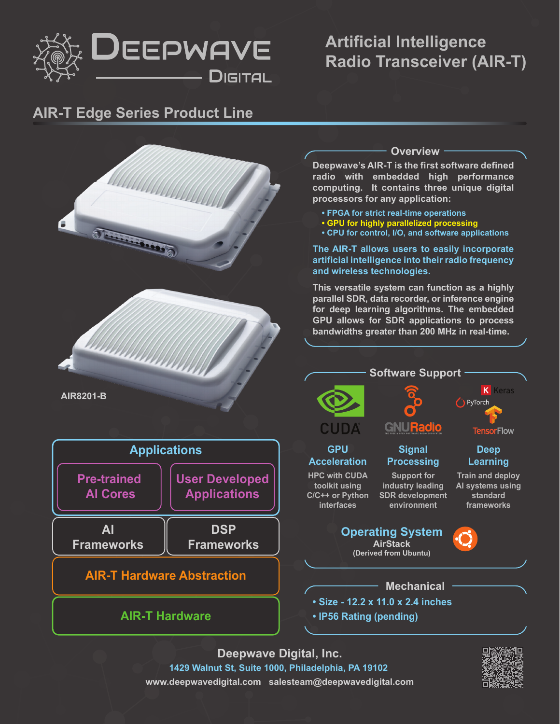

# **Artificial Intelligence Radio Transceiver (AIR-T)**

### **AIR-T Edge Series Product Line**



**Deepwave Digital, Inc. 1429 Walnut St, Suite 1000, Philadelphia, PA 19102 www.deepwavedigital.com salesteam@deepwavedigital.com**